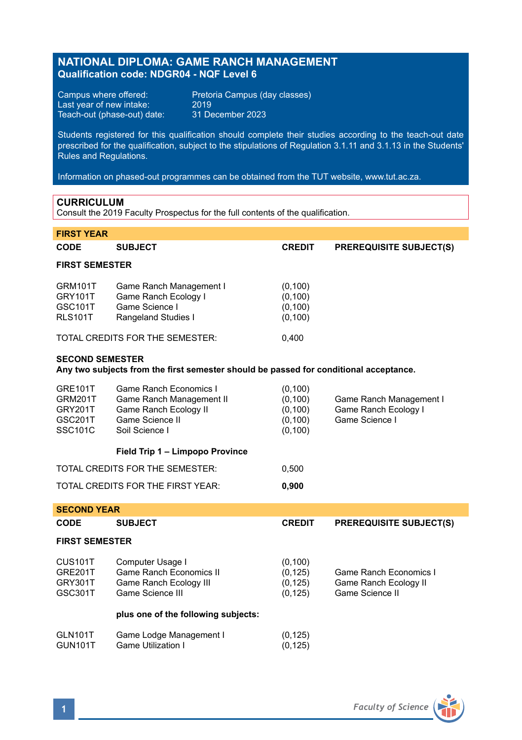# **NATIONAL DIPLOMA: GAME RANCH MANAGEMENT Qualification code: NDGR04 - NQF Level 6**

Last year of new intake: 2019 Teach-out (phase-out) date: 31 December 2023

Campus where offered: Pretoria Campus (day classes)<br>Last year of new intake: 2019

Students registered for this qualification should complete their studies according to the teach-out date prescribed for the qualification, subject to the stipulations of Regulation 3.1.11 and 3.1.13 in the Students' Rules and Regulations.

Information on phased-out programmes can be obtained from the TUT website, www.tut.ac.za.

## **CURRICULUM**

Consult the 2019 Faculty Prospectus for the full contents of the qualification.

| <b>FIRST YEAR</b>                                                                                               |                                                                                                                  |                                                          |                                                                    |  |  |
|-----------------------------------------------------------------------------------------------------------------|------------------------------------------------------------------------------------------------------------------|----------------------------------------------------------|--------------------------------------------------------------------|--|--|
| CODE                                                                                                            | <b>SUBJECT</b>                                                                                                   | <b>CREDIT</b>                                            | <b>PREREQUISITE SUBJECT(S)</b>                                     |  |  |
| <b>FIRST SEMESTER</b>                                                                                           |                                                                                                                  |                                                          |                                                                    |  |  |
| GRM101T<br><b>GRY101T</b><br>GSC101T<br><b>RLS101T</b>                                                          | Game Ranch Management I<br>Game Ranch Ecology I<br>Game Science I<br>Rangeland Studies I                         | (0, 100)<br>(0, 100)<br>(0, 100)<br>(0, 100)             |                                                                    |  |  |
|                                                                                                                 | TOTAL CREDITS FOR THE SEMESTER:                                                                                  | 0,400                                                    |                                                                    |  |  |
| <b>SECOND SEMESTER</b><br>Any two subjects from the first semester should be passed for conditional acceptance. |                                                                                                                  |                                                          |                                                                    |  |  |
| <b>GRE101T</b><br>GRM201T<br>GRY201T<br><b>GSC201T</b><br><b>SSC101C</b>                                        | Game Ranch Fconomics L<br>Game Ranch Management II<br>Game Ranch Ecology II<br>Game Science II<br>Soil Science I | (0, 100)<br>(0, 100)<br>(0, 100)<br>(0, 100)<br>(0, 100) | Game Ranch Management I<br>Game Ranch Ecology I<br>Game Science I  |  |  |
|                                                                                                                 | Field Trip 1 - Limpopo Province                                                                                  |                                                          |                                                                    |  |  |
|                                                                                                                 | TOTAL CREDITS FOR THE SEMESTER:                                                                                  | 0,500                                                    |                                                                    |  |  |
| TOTAL CREDITS FOR THE FIRST YEAR:                                                                               |                                                                                                                  | 0,900                                                    |                                                                    |  |  |
| <b>SECOND YEAR</b>                                                                                              |                                                                                                                  |                                                          |                                                                    |  |  |
| <b>CODE</b>                                                                                                     | <b>SUBJECT</b>                                                                                                   | <b>CREDIT</b>                                            | <b>PREREQUISITE SUBJECT(S)</b>                                     |  |  |
| <b>FIRST SEMESTER</b>                                                                                           |                                                                                                                  |                                                          |                                                                    |  |  |
| CUS101T<br><b>GRE201T</b><br>GRY301T<br>GSC301T                                                                 | Computer Usage I<br><b>Game Ranch Economics II</b><br>Game Ranch Ecology III<br>Game Science III                 | (0, 100)<br>(0, 125)<br>(0, 125)<br>(0, 125)             | Game Ranch Economics I<br>Game Ranch Ecology II<br>Game Science II |  |  |
|                                                                                                                 | plus one of the following subjects:                                                                              |                                                          |                                                                    |  |  |
| <b>GLN101T</b><br><b>GUN101T</b>                                                                                | Game Lodge Management I<br><b>Game Utilization I</b>                                                             | (0, 125)<br>(0, 125)                                     |                                                                    |  |  |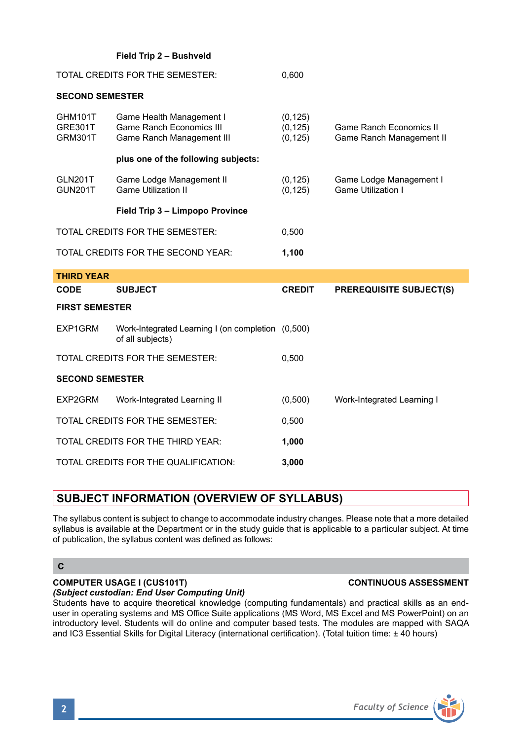|                                             | Field Trip 2 - Bushveld                                                                  |                                  |                                                            |  |  |
|---------------------------------------------|------------------------------------------------------------------------------------------|----------------------------------|------------------------------------------------------------|--|--|
|                                             | TOTAL CREDITS FOR THE SEMESTER:                                                          | 0,600                            |                                                            |  |  |
| <b>SECOND SEMESTER</b>                      |                                                                                          |                                  |                                                            |  |  |
| GHM101T<br><b>GRE301T</b><br><b>GRM301T</b> | Game Health Management I<br><b>Game Ranch Economics III</b><br>Game Ranch Management III | (0, 125)<br>(0, 125)<br>(0, 125) | <b>Game Ranch Economics II</b><br>Game Ranch Management II |  |  |
|                                             | plus one of the following subjects:                                                      |                                  |                                                            |  |  |
| <b>GLN201T</b><br><b>GUN201T</b>            | Game Lodge Management II<br><b>Game Utilization II</b>                                   | (0, 125)<br>(0, 125)             | Game Lodge Management I<br><b>Game Utilization I</b>       |  |  |
|                                             | Field Trip 3 - Limpopo Province                                                          |                                  |                                                            |  |  |
| TOTAL CREDITS FOR THE SEMESTER:             |                                                                                          | 0,500                            |                                                            |  |  |
| TOTAL CREDITS FOR THE SECOND YEAR:          |                                                                                          | 1,100                            |                                                            |  |  |
| <b>THIRD YEAR</b>                           |                                                                                          |                                  |                                                            |  |  |
|                                             |                                                                                          |                                  |                                                            |  |  |
| CODE                                        | <b>SUBJECT</b>                                                                           | <b>CREDIT</b>                    | <b>PREREQUISITE SUBJECT(S)</b>                             |  |  |
| <b>FIRST SEMESTER</b>                       |                                                                                          |                                  |                                                            |  |  |
| EXP1GRM                                     | Work-Integrated Learning I (on completion (0,500)<br>of all subjects)                    |                                  |                                                            |  |  |
|                                             | TOTAL CREDITS FOR THE SEMESTER:                                                          | 0,500                            |                                                            |  |  |
| <b>SECOND SEMESTER</b>                      |                                                                                          |                                  |                                                            |  |  |
| EXP2GRM                                     | Work-Integrated Learning II                                                              | (0,500)                          | Work-Integrated Learning I                                 |  |  |
|                                             | TOTAL CREDITS FOR THE SEMESTER:                                                          | 0,500                            |                                                            |  |  |
|                                             | TOTAL CREDITS FOR THE THIRD YEAR:                                                        | 1,000                            |                                                            |  |  |

# **SUBJECT INFORMATION (OVERVIEW OF SYLLABUS)**

The syllabus content is subject to change to accommodate industry changes. Please note that a more detailed syllabus is available at the Department or in the study guide that is applicable to a particular subject. At time of publication, the syllabus content was defined as follows:

## **C**

# **COMPUTER USAGE I (CUS101T) CONTINUOUS ASSESSMENT**

### *(Subject custodian: End User Computing Unit)*

Students have to acquire theoretical knowledge (computing fundamentals) and practical skills as an enduser in operating systems and MS Office Suite applications (MS Word, MS Excel and MS PowerPoint) on an introductory level. Students will do online and computer based tests. The modules are mapped with SAQA and IC3 Essential Skills for Digital Literacy (international certification). (Total tuition time: ± 40 hours)

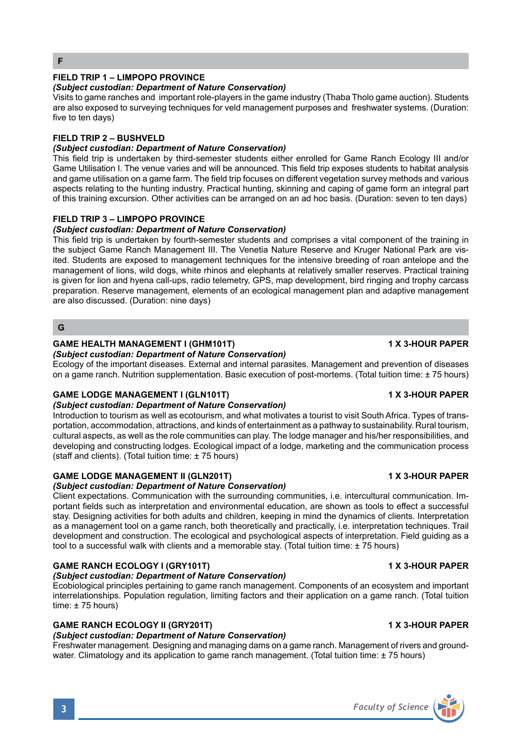# **FIELD TRIP 1 – LIMPOPO PROVINCE**

### *(Subject custodian: Department of Nature Conservation)*

Visits to game ranches and important role-players in the game industry (Thaba Tholo game auction). Students are also exposed to surveying techniques for veld management purposes and freshwater systems. (Duration: five to ten days)

### **FIELD TRIP 2 – BUSHVELD**

# *(Subject custodian: Department of Nature Conservation)*

This field trip is undertaken by third-semester students either enrolled for Game Ranch Ecology III and/or Game Utilisation I. The venue varies and will be announced. This field trip exposes students to habitat analysis and game utilisation on a game farm. The field trip focuses on different vegetation survey methods and various aspects relating to the hunting industry. Practical hunting, skinning and caping of game form an integral part of this training excursion. Other activities can be arranged on an ad hoc basis. (Duration: seven to ten days)

### **FIELD TRIP 3 – LIMPOPO PROVINCE**

### *(Subject custodian: Department of Nature Conservation)*

This field trip is undertaken by fourth-semester students and comprises a vital component of the training in the subject Game Ranch Management III. The Venetia Nature Reserve and Kruger National Park are visited. Students are exposed to management techniques for the intensive breeding of roan antelope and the management of lions, wild dogs, white rhinos and elephants at relatively smaller reserves. Practical training is given for lion and hyena call-ups, radio telemetry, GPS, map development, bird ringing and trophy carcass preparation. Reserve management, elements of an ecological management plan and adaptive management are also discussed. (Duration: nine days)

## **G**

## **GAME HEALTH MANAGEMENT I (GHM101T) 1 X 3-HOUR PAPER**

*(Subject custodian: Department of Nature Conservation)*

Ecology of the important diseases. External and internal parasites. Management and prevention of diseases on a game ranch. Nutrition supplementation. Basic execution of post-mortems. (Total tuition time: ± 75 hours)

### **GAME LODGE MANAGEMENT I (GLN101T) 1 X 3-HOUR PAPER**

### *(Subject custodian: Department of Nature Conservation)*

Introduction to tourism as well as ecotourism, and what motivates a tourist to visit South Africa. Types of transportation, accommodation, attractions, and kinds of entertainment as a pathway to sustainability. Rural tourism, cultural aspects, as well as the role communities can play. The lodge manager and his/her responsibilities, and developing and constructing lodges. Ecological impact of a lodge, marketing and the communication process (staff and clients). (Total tuition time: ± 75 hours)

## GAME LODGE MANAGEMENT II (GLN201T) **1 ACCURAGEMENT II (GLN201T)** 1 X 3-HOUR PAPER

### *(Subject custodian: Department of Nature Conservation)*

Client expectations. Communication with the surrounding communities, i.e. intercultural communication. Important fields such as interpretation and environmental education, are shown as tools to effect a successful stay. Designing activities for both adults and children, keeping in mind the dynamics of clients. Interpretation as a management tool on a game ranch, both theoretically and practically, i.e. interpretation techniques. Trail development and construction. The ecological and psychological aspects of interpretation. Field guiding as a tool to a successful walk with clients and a memorable stay. (Total tuition time: ± 75 hours)

### **GAME RANCH ECOLOGY I (GRY101T) 1 X 3-HOUR PAPER**

### *(Subject custodian: Department of Nature Conservation)*

Ecobiological principles pertaining to game ranch management. Components of an ecosystem and important interrelationships. Population regulation, limiting factors and their application on a game ranch. (Total tuition time: ± 75 hours)

## **GAME RANCH ECOLOGY II (GRY201T) 1 ACCOMPANY 1 X 3-HOUR PAPER**

# *(Subject custodian: Department of Nature Conservation)*

Freshwater management. Designing and managing dams on a game ranch. Management of rivers and groundwater. Climatology and its application to game ranch management. (Total tuition time: ± 75 hours)

# **3** *Faculty of Science*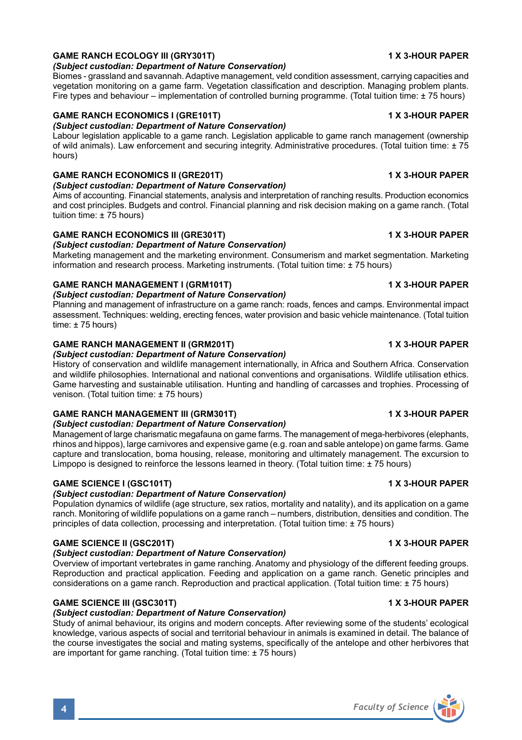# **GAME RANCH ECOLOGY III (GRY301T)** 1 2 2 2 2 2 3 3 3 3 4 4 3 3 4 4 3 4 4 5 4 6 4 6 6 7 7 8 4 6 7 7 8 7 7 8 7 7 8 7 7 8 7 8 7 7 8 7 7 8 7 7 8 7 8 7 7 8 7 7 8 7 7 8 7 7 8 7 7 8 7 7 8 7 7 8 7 7 8 7 7 8 7 7 8 7 7 8 7 7 8 7 7 8

### *(Subject custodian: Department of Nature Conservation)*

Biomes - grassland and savannah. Adaptive management, veld condition assessment, carrying capacities and vegetation monitoring on a game farm. Vegetation classification and description. Managing problem plants. Fire types and behaviour – implementation of controlled burning programme. (Total tuition time: ± 75 hours)

## **GAME RANCH ECONOMICS I (GRE101T) 1 X 3-HOUR PAPER**

### *(Subject custodian: Department of Nature Conservation)*

Labour legislation applicable to a game ranch. Legislation applicable to game ranch management (ownership of wild animals). Law enforcement and securing integrity. Administrative procedures. (Total tuition time: ± 75 hours)

## **GAME RANCH ECONOMICS II (GRE201T)** 1 X 3-HOUR PAPER

*(Subject custodian: Department of Nature Conservation)* Aims of accounting. Financial statements, analysis and interpretation of ranching results. Production economics and cost principles. Budgets and control. Financial planning and risk decision making on a game ranch. (Total tuition time: ± 75 hours)

# GAME RANCH ECONOMICS III (GRE301T) **1 X 3-HOUR PAPER**

# *(Subject custodian: Department of Nature Conservation)*

Marketing management and the marketing environment. Consumerism and market segmentation. Marketing information and research process. Marketing instruments. (Total tuition time: ± 75 hours)

## **GAME RANCH MANAGEMENT I (GRM101T) 1 X 3-HOUR PAPER**

### *(Subject custodian: Department of Nature Conservation)*

Planning and management of infrastructure on a game ranch: roads, fences and camps. Environmental impact assessment. Techniques: welding, erecting fences, water provision and basic vehicle maintenance. (Total tuition time: ± 75 hours)

## GAME RANCH MANAGEMENT II (GRM201T) 1 1 X 3-HOUR PAPER

### *(Subject custodian: Department of Nature Conservation)*

History of conservation and wildlife management internationally, in Africa and Southern Africa. Conservation and wildlife philosophies. International and national conventions and organisations. Wildlife utilisation ethics. Game harvesting and sustainable utilisation. Hunting and handling of carcasses and trophies. Processing of venison. (Total tuition time: ± 75 hours)

# **GAME RANCH MANAGEMENT III (GRM301T) 1 X 3-HOUR PAPER**

### *(Subject custodian: Department of Nature Conservation)*

Management of large charismatic megafauna on game farms. The management of mega-herbivores (elephants, rhinos and hippos), large carnivores and expensive game (e.g. roan and sable antelope) on game farms. Game capture and translocation, boma housing, release, monitoring and ultimately management. The excursion to Limpopo is designed to reinforce the lessons learned in theory. (Total tuition time: ± 75 hours)

### GAME SCIENCE I (GSC101T) **1 X 3-HOUR PAPER**

# *(Subject custodian: Department of Nature Conservation)*

Population dynamics of wildlife (age structure, sex ratios, mortality and natality), and its application on a game ranch. Monitoring of wildlife populations on a game ranch – numbers, distribution, densities and condition. The principles of data collection, processing and interpretation. (Total tuition time: ± 75 hours)

# **GAME SCIENCE II (GSC201T) 1 X 3-HOUR PAPER**

# *(Subject custodian: Department of Nature Conservation)*

Overview of important vertebrates in game ranching. Anatomy and physiology of the different feeding groups. Reproduction and practical application. Feeding and application on a game ranch. Genetic principles and considerations on a game ranch. Reproduction and practical application. (Total tuition time: ± 75 hours)

# **GAME SCIENCE III (GSC301T) 1 X 3-HOUR PAPER**

# *(Subject custodian: Department of Nature Conservation)*

Study of animal behaviour, its origins and modern concepts. After reviewing some of the students' ecological knowledge, various aspects of social and territorial behaviour in animals is examined in detail. The balance of the course investigates the social and mating systems, specifically of the antelope and other herbivores that are important for game ranching. (Total tuition time: ± 75 hours)